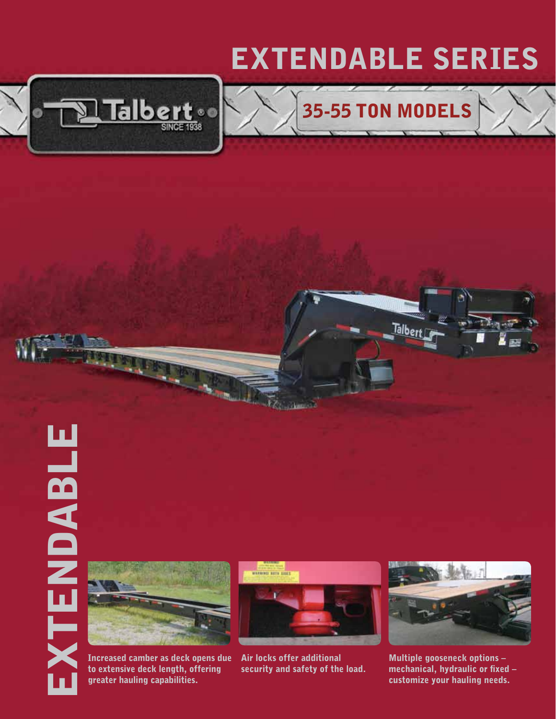## EXTENDABLE Series

35-55 Ton mODELS

Talber







Increased camber as deck opens due to extensive deck length, offering greater hauling capabilities.



 Air locks offer additional security and safety of the load.



Multiple gooseneck options – mechanical, hydraulic or fixed – customize your hauling needs.